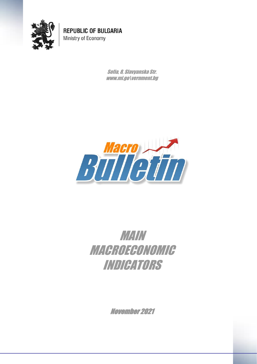

**REPUBLIC OF BULGARIA** Ministry of Economy

> Sofia, 8, Slavyanska Str. www.mi.go\vernment.bg



## MAIN MACROECONOMIC INDICATORS

November 2021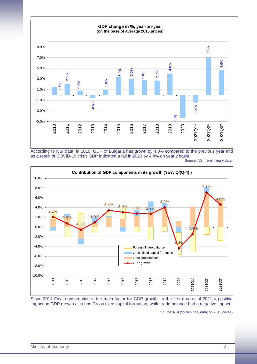

According to NSI data, in 2019, GDP of Bulgaria has grown by 4.0% compared to the previous year and as a result of COVID-19 crisis GDP indicated a fall in 2020 by 4.4% on yearly basis.

Source: NSI (\*preliminary data)



Since 2014 Final consumption is the main factor for GDP growth. In the first quarter of 2021 a positive impact on GDP growth also has Gross fixed capital formation, while trade balance had a negative impact.

Source: NSI (\*preliminary data; on 2015 prices)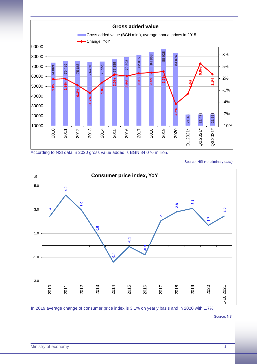

According to NSI data in 2020 gross value added is BGN 84 076 million.

Source: NSI (\*preliminary data)



In 2019 average change of consumer price index is 3.1% on yearly basis and in 2020 with 1.7%.

Source: NSI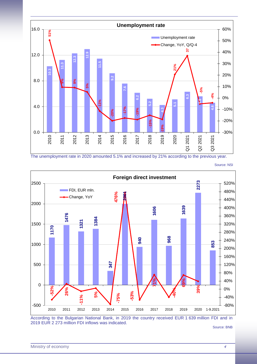

The unemployment rate in 2020 amounted 5.1% and increased by 21% according to the previous year.

**Foreign direct investment 2273** 2500 520% FDI, EUR mln. 480% 476% **-75% 476% 2001** Change, YoY440% 2000 **1639** 400% **1606 1476** 360% **1384 1321** 1500 320% **1170** 280% **968 940** 240% **853** 1000 200% 160% **347** 500 120% 80% **71%** 40% **69%** 0 **26% -52%** 0% **-40% 39% -53% 5%** -75% **-11%** -40% -500 -80% 2010 2011 2012 2013 2014 2015 2016 2017 2018 2019 2020 1-9.2021

Source: NSI

According to the Bulgarian National Bank, in 2019 the country received EUR 1 639 million FDI and in 2019 EUR 2 273 million FDI inflows was indicated.

Source: BNB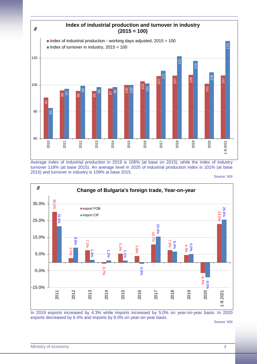

Average index of industrial production in 2019 is 108% (at base on 2015), while the index of industry turnover 118% (at base 2015). An average level in 2020 of industrial production index is 101% (at base 2015) and turnover in industry is 109% at base 2015.

Source: NSI



In 2019 exports increased by 4.3% while imports increased by 5.0% on year-on-year basis. In 2020 exports decreased by 6.4% and imports by 9.0% on year-on-year basis.

Source: NSI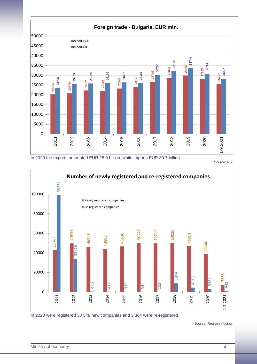

In 2020 the exports amounted EUR 28.0 billion, while imports EUR 30.7 billion.

Source: NSI



In 2020 were registered 38 548 new companies and 3 364 were re-registered.

Source: Registry Agency